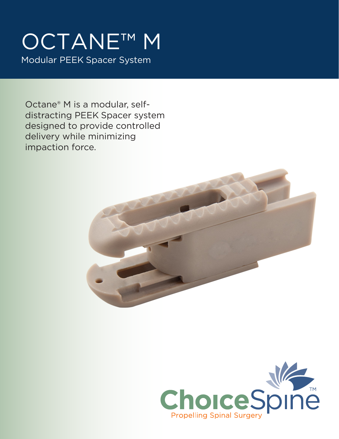# OCTANE™ M Modular PEEK Spacer System

Octane® M is a modular, selfdistracting PEEK Spacer system designed to provide controlled delivery while minimizing impaction force.